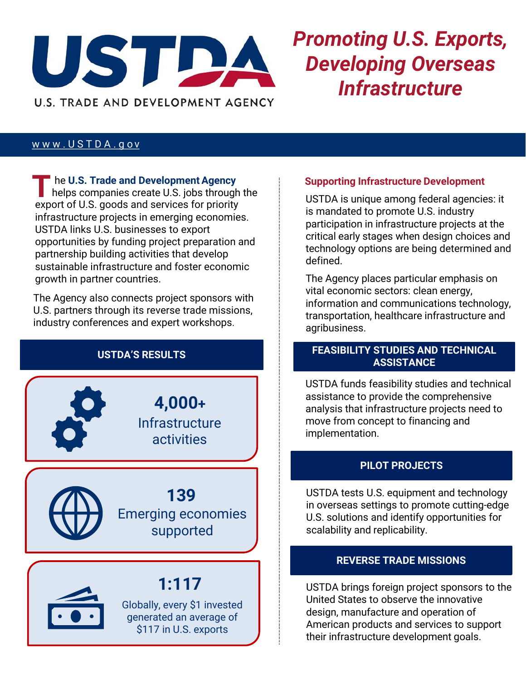

# *Promoting U.S. Exports, Developing Overseas Infrastructure*

#### www.USTDA.gov

**he U.S. Trade and Development Agency** helps companies create U.S. jobs through the export of U.S. goods and services for priority infrastructure projects in emerging economies. USTDA links U.S. businesses to export opportunities by funding project preparation and partnership building activities that develop sustainable infrastructure and foster economic growth in partner countries. **T**

The Agency also connects project sponsors with U.S. partners through its reverse trade missions, industry conferences and expert workshops.

**4,000+ Infrastructure** activities

Emerging economies supported **139**



### **1:117**

Globally, every \$1 invested generated an average of \$117 in U.S. exports

#### **Supporting Infrastructure Development**

USTDA is unique among federal agencies: it is mandated to promote U.S. industry participation in infrastructure projects at the critical early stages when design choices and technology options are being determined and defined.

The Agency places particular emphasis on vital economic sectors: clean energy, information and communications technology, transportation, healthcare infrastructure and agribusiness.

#### **USTDA'S RESULTS FEASIBILITY STUDIES AND TECHNICAL ASSISTANCE**

USTDA funds feasibility studies and technical assistance to provide the comprehensive analysis that infrastructure projects need to move from concept to financing and implementation.

### **PILOT PROJECTS**

USTDA tests U.S. equipment and technology in overseas settings to promote cutting-edge U.S. solutions and identify opportunities for scalability and replicability.

#### **REVERSE TRADE MISSIONS**

USTDA brings foreign project sponsors to the United States to observe the innovative design, manufacture and operation of American products and services to support their infrastructure development goals.